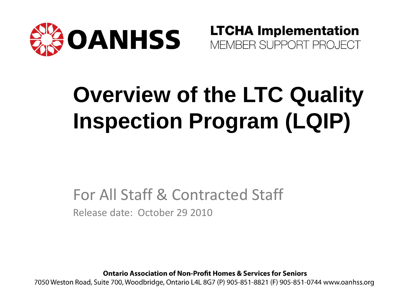

**LTCHA Implementation** MEMBER SUPPORT PROJECT

# **Overview of the LTC Quality Inspection Program (LQIP)**

#### For All Staff & Contracted Staff Release date: October 29 2010

**Ontario Association of Non-Profit Homes & Services for Seniors** 

7050 Weston Road, Suite 700, Woodbridge, Ontario L4L 8G7 (P) 905-851-8821 (F) 905-851-0744 www.oanhss.org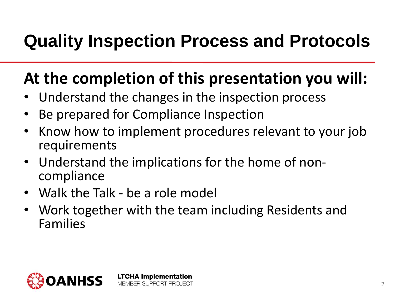### **Quality Inspection Process and Protocols**

### **At the completion of this presentation you will:**

- Understand the changes in the inspection process
- Be prepared for Compliance Inspection

- Know how to implement procedures relevant to your job requirements
- Understand the implications for the home of noncompliance
- Walk the Talk be a role model
- Work together with the team including Residents and Families

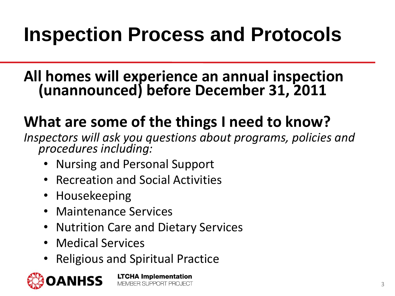## **Inspection Process and Protocols**

#### **All homes will experience an annual inspection (unannounced) before December 31, 2011**

### **What are some of the things I need to know?**

*Inspectors will ask you questions about programs, policies and procedures including:*

- Nursing and Personal Support
- Recreation and Social Activities
- Housekeeping
- Maintenance Services
- Nutrition Care and Dietary Services
- Medical Services
- Religious and Spiritual Practice

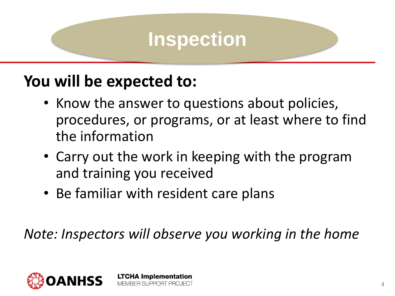#### **You will be expected to:**

- Know the answer to questions about policies, procedures, or programs, or at least where to find the information
- Carry out the work in keeping with the program and training you received
- Be familiar with resident care plans

**LTCHA Implementation** MEMBER SUPPORT PROJECT

*Note: Inspectors will observe you working in the home*

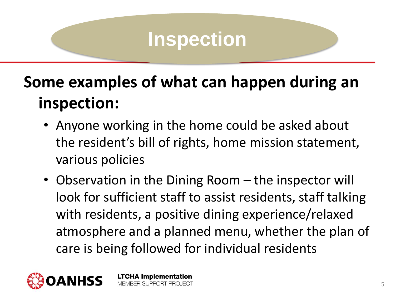### **Some examples of what can happen during an inspection:**

- Anyone working in the home could be asked about the resident's bill of rights, home mission statement, various policies
- Observation in the Dining Room the inspector will look for sufficient staff to assist residents, staff talking with residents, a positive dining experience/relaxed atmosphere and a planned menu, whether the plan of care is being followed for individual residents

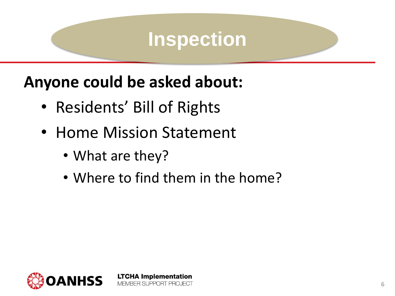#### **Anyone could be asked about:**

- Residents' Bill of Rights
- Home Mission Statement
	- What are they?
	- Where to find them in the home?

**LTCHA Implementation** 

MEMBER SUPPORT PROJECT

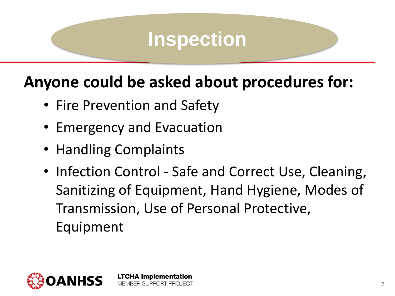#### **Anyone could be asked about procedures for:**

- Fire Prevention and Safety
- Emergency and Evacuation

- Handling Complaints
- Infection Control Safe and Correct Use, Cleaning, Sanitizing of Equipment, Hand Hygiene, Modes of Transmission, Use of Personal Protective, Equipment

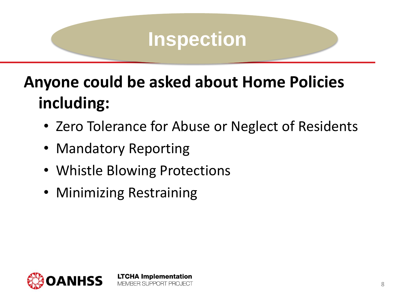### **Anyone could be asked about Home Policies including:**

- Zero Tolerance for Abuse or Neglect of Residents
- Mandatory Reporting
- Whistle Blowing Protections

**LTCHA Implementation** MEMBER SUPPORT PROJECT

• Minimizing Restraining

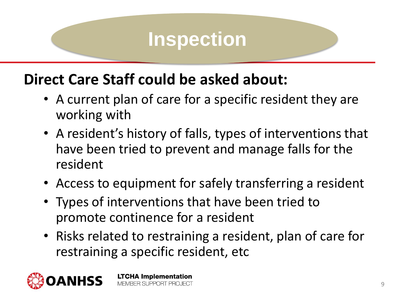#### **Direct Care Staff could be asked about:**

- A current plan of care for a specific resident they are working with
- A resident's history of falls, types of interventions that have been tried to prevent and manage falls for the resident
- Access to equipment for safely transferring a resident
- Types of interventions that have been tried to promote continence for a resident
- Risks related to restraining a resident, plan of care for restraining a specific resident, etc

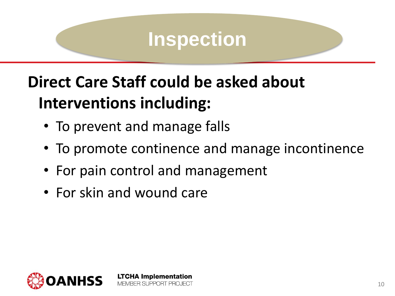### **Direct Care Staff could be asked about Interventions including:**

- To prevent and manage falls
- To promote continence and manage incontinence
- For pain control and management

**LTCHA Implementation** MEMBER SUPPORT PROJECT

• For skin and wound care